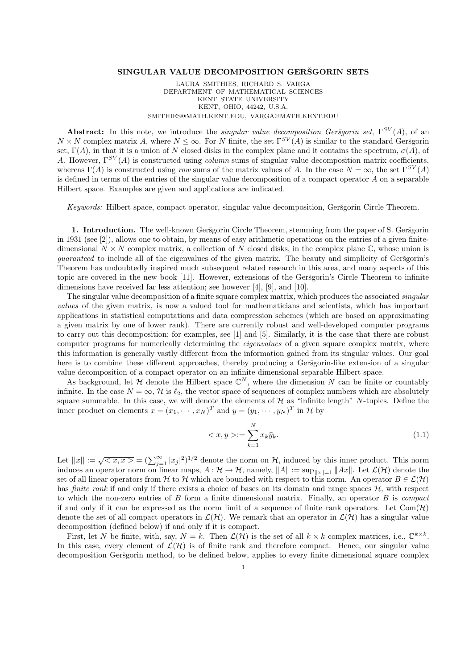## SINGULAR VALUE DECOMPOSITION GERSGORIN SETS

LAURA SMITHIES, RICHARD S. VARGA DEPARTMENT OF MATHEMATICAL SCIENCES KENT STATE UNIVERSITY KENT, OHIO, 44242, U.S.A. SMITHIES@MATH.KENT.EDU, VARGA@MATH.KENT.EDU

**Abstract:** In this note, we introduce the *singular value decomposition Gerigorin set*,  $\Gamma^{SV}(A)$ , of an  $N \times N$  complex matrix A, where  $N \leq \infty$ . For N finite, the set  $\Gamma^{SV}(A)$  is similar to the standard Geršgorin set,  $\Gamma(A)$ , in that it is a union of N closed disks in the complex plane and it contains the spectrum,  $\sigma(A)$ , of A. However,  $\Gamma^{SV}(A)$  is constructed using *column* sums of singular value decomposition matrix coefficients, whereas  $\Gamma(A)$  is constructed using row sums of the matrix values of A. In the case  $N = \infty$ , the set  $\Gamma^{SV}(A)$ is defined in terms of the entries of the singular value decomposition of a compact operator  $A$  on a separable Hilbert space. Examples are given and applications are indicated.

Keywords: Hilbert space, compact operator, singular value decomposition, Geršgorin Circle Theorem.

1. Introduction. The well-known Geršgorin Circle Theorem, stemming from the paper of S. Geršgorin in 1931 (see [2]), allows one to obtain, by means of easy arithmetic operations on the entries of a given finitedimensional  $N \times N$  complex matrix, a collection of N closed disks, in the complex plane C, whose union is quaranteed to include all of the eigenvalues of the given matrix. The beauty and simplicity of Geršgorin's Theorem has undoubtedly inspired much subsequent related research in this area, and many aspects of this topic are covered in the new book [11]. However, extensions of the Geršgorin's Circle Theorem to infinite dimensions have received far less attention; see however [4], [9], and [10].

The singular value decomposition of a finite square complex matrix, which produces the associated *singular* values of the given matrix, is now a valued tool for mathematicians and scientists, which has important applications in statistical computations and data compression schemes (which are based on approximating a given matrix by one of lower rank). There are currently robust and well-developed computer programs to carry out this decomposition; for examples, see [1] and [5]. Similarly, it is the case that there are robust computer programs for numerically determining the eigenvalues of a given square complex matrix, where this information is generally vastly different from the information gained from its singular values. Our goal here is to combine these different approaches, thereby producing a Gersgorin-like extension of a singular value decomposition of a compact operator on an infinite dimensional separable Hilbert space.

As background, let  $H$  denote the Hilbert space  $\mathbb{C}^N$ , where the dimension N can be finite or countably infinite. In the case  $N = \infty$ , H is  $\ell_2$ , the vector space of sequences of complex numbers which are absolutely square summable. In this case, we will denote the elements of  $\mathcal{H}$  as "infinite length" N-tuples. Define the inner product on elements  $x = (x_1, \dots, x_N)^T$  and  $y = (y_1, \dots, y_N)^T$  in  $\mathcal H$  by

$$
\langle x, y \rangle := \sum_{k=1}^{N} x_k \bar{y}_k. \tag{1.1}
$$

Let  $||x|| := \sqrt{\langle x, x \rangle} = (\sum_{j=1}^{\infty} |x_j|^2)^{1/2}$  denote the norm on H, induced by this inner product. This norm induces an operator norm on linear maps,  $A : \mathcal{H} \to \mathcal{H}$ , namely,  $||A|| := \sup_{||x||=1} ||Ax||$ . Let  $\mathcal{L}(\mathcal{H})$  denote the set of all linear operators from H to H which are bounded with respect to this norm. An operator  $B \in \mathcal{L}(\mathcal{H})$ has *finite rank* if and only if there exists a choice of bases on its domain and range spaces  $H$ , with respect to which the non-zero entries of  $B$  form a finite dimensional matrix. Finally, an operator  $B$  is *compact* if and only if it can be expressed as the norm limit of a sequence of finite rank operators. Let  $Com(\mathcal{H})$ denote the set of all compact operators in  $\mathcal{L}(\mathcal{H})$ . We remark that an operator in  $\mathcal{L}(\mathcal{H})$  has a singular value decomposition (defined below) if and only if it is compact.

First, let N be finite, with, say,  $N = k$ . Then  $\mathcal{L}(\mathcal{H})$  is the set of all  $k \times k$  complex matrices, i.e.,  $\mathbb{C}^{k \times k}$ . In this case, every element of  $\mathcal{L}(\mathcal{H})$  is of finite rank and therefore compact. Hence, our singular value decomposition Geršgorin method, to be defined below, applies to every finite dimensional square complex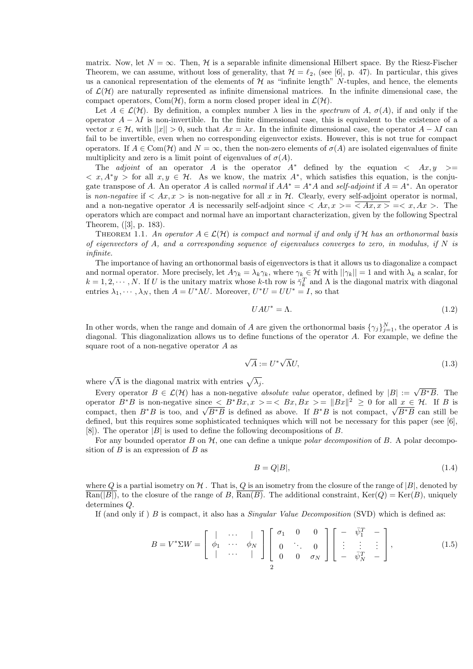matrix. Now, let  $N = \infty$ . Then, H is a separable infinite dimensional Hilbert space. By the Riesz-Fischer Theorem, we can assume, without loss of generality, that  $\mathcal{H} = \ell_2$ , (see [6], p. 47). In particular, this gives us a canonical representation of the elements of  $H$  as "infinite length" N-tuples, and hence, the elements of  $\mathcal{L}(\mathcal{H})$  are naturally represented as infinite dimensional matrices. In the infinite dimensional case, the compact operators, Com $(\mathcal{H})$ , form a norm closed proper ideal in  $\mathcal{L}(\mathcal{H})$ .

Let  $A \in \mathcal{L}(\mathcal{H})$ . By definition, a complex number  $\lambda$  lies in the spectrum of A,  $\sigma(A)$ , if and only if the operator  $A - \lambda I$  is non-invertible. In the finite dimensional case, this is equivalent to the existence of a vector  $x \in H$ , with  $||x|| > 0$ , such that  $Ax = \lambda x$ . In the infinite dimensional case, the operator  $A - \lambda I$  can fail to be invertible, even when no corresponding eigenvector exists. However, this is not true for compact operators. If  $A \in \text{Com}(\mathcal{H})$  and  $N = \infty$ , then the non-zero elements of  $\sigma(A)$  are isolated eigenvalues of finite multiplicity and zero is a limit point of eigenvalues of  $\sigma(A)$ .

The *adjoint* of an operator A is the operator  $A^*$  defined by the equation  $\langle Ax, y \rangle =$  $\langle x, A^*y \rangle$  for all  $x, y \in \mathcal{H}$ . As we know, the matrix  $A^*$ , which satisfies this equation, is the conjugate transpose of A. An operator A is called *normal* if  $AA^* = A^*A$  and self-adjoint if  $A = A^*$ . An operator is non-negative if  $\langle Ax, x \rangle$  is non-negative for all x in H. Clearly, every self-adjoint operator is normal, and a non-negative operator A is necessarily self-adjoint since  $\langle Ax, x \rangle = \langle Ax, x \rangle = \langle x, Ax \rangle$ . The operators which are compact and normal have an important characterization, given by the following Spectral Theorem, ([3], p. 183).

THEOREM 1.1. An operator  $A \in \mathcal{L}(\mathcal{H})$  is compact and normal if and only if H has an orthonormal basis of eigenvectors of A, and a corresponding sequence of eigenvalues converges to zero, in modulus, if  $N$  is infinite.

The importance of having an orthonormal basis of eigenvectors is that it allows us to diagonalize a compact and normal operator. More precisely, let  $A\gamma_k = \lambda_k \gamma_k$ , where  $\gamma_k \in \mathcal{H}$  with  $||\gamma_k|| = 1$  and with  $\lambda_k$  a scalar, for  $k = 1, 2, \dots, N$ . If U is the unitary matrix whose k-th row is  $\bar{\gamma}_k^T$  and  $\Lambda$  is the diagonal matrix with diagonal entries  $\lambda_1, \dots, \lambda_N$ , then  $A = U^* \Lambda U$ . Moreover,  $U^* U = U U^* = I$ , so that

$$
UAU^* = \Lambda. \tag{1.2}
$$

In other words, when the range and domain of A are given the orthonormal basis  $\{\gamma_j\}_{j=1}^N$ , the operator A is diagonal. This diagonalization allows us to define functions of the operator A. For example, we define the square root of a non-negative operator A as

$$
\sqrt{A} := U^* \sqrt{\Lambda} U,\tag{1.3}
$$

where  $\sqrt{\Lambda}$  is the diagonal matrix with entries  $\sqrt{\lambda_j}$ .

Every operator  $B \in \mathcal{L}(\mathcal{H})$  has a non-negative *absolute value* operator, defined by  $|B| := \sqrt{B*B}$ . The operator  $B^*B$  is non-negative since  $\leq B^*Bx, x > = \leq Bx, Bx > = ||Bx||^2 \geq 0$  for all  $x \in \mathcal{H}$ . If B is compact, then  $B^*B$  is too, and  $\sqrt{B^*B}$  is defined as above. If  $B^*B$  is not compact,  $\sqrt{B^*B}$  can still be defined, but this requires some sophisticated techniques which will not be necessary for this paper (see [6], [8]). The operator  $|B|$  is used to define the following decompositions of B.

For any bounded operator B on  $H$ , one can define a unique *polar decomposition* of B. A polar decomposition of  $B$  is an expression of  $B$  as

$$
B = Q|B|,\t\t(1.4)
$$

where Q is a partial isometry on  $H$ . That is, Q is an isometry from the closure of the range of  $|B|$ , denoted by  $\text{Ran}(|B|)$ , to the closure of the range of B,  $\text{Ran}(B)$ . The additional constraint,  $\text{Ker}(Q) = \text{Ker}(B)$ , uniquely determines Q.

If (and only if ) B is compact, it also has a *Singular Value Decomposition* (SVD) which is defined as:

$$
B = V^* \Sigma W = \begin{bmatrix} \vert & \cdots & \vert \\ \phi_1 & \cdots & \phi_N \\ \vert & \cdots & \vert \end{bmatrix} \begin{bmatrix} \sigma_1 & 0 & 0 \\ 0 & \ddots & 0 \\ 0 & 0 & \sigma_N \end{bmatrix} \begin{bmatrix} - & \bar{\psi}_1^T & - \\ \vdots & \vdots & \vdots \\ - & \bar{\psi}_N^T & - \end{bmatrix},\tag{1.5}
$$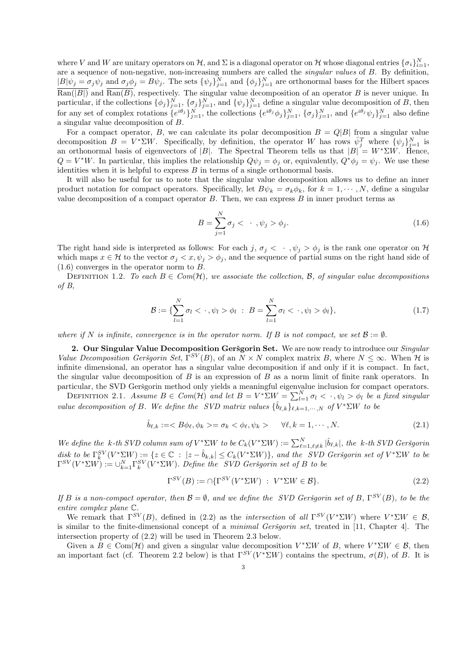where V and W are unitary operators on H, and  $\Sigma$  is a diagonal operator on H whose diagonal entries  $\{\sigma_i\}_{i=1}^N$ , are a sequence of non-negative, non-increasing numbers are called the singular values of B. By definition,  $|B|\psi_j = \sigma_j \psi_j$  and  $\sigma_j \phi_j = B\psi_j$ . The sets  $\{\psi_j\}_{j=1}^N$  and  $\{\phi_j\}_{j=1}^N$  are orthonormal bases for the Hilbert spaces  $\text{Ran}(|B|)$  and  $\text{Ran}(B)$ , respectively. The singular value decomposition of an operator B is never unique. In particular, if the collections  $\{\phi_j\}_{j=1}^N$ ,  $\{\sigma_j\}_{j=1}^N$ , and  $\{\psi_j\}_{j=1}^N$  define a singular value decomposition of B, then for any set of complex rotations  $\{e^{i\theta_j}\}_{j=1}^N$ , the collections  $\{e^{i\theta_j}\phi_j\}_{j=1}^N$ ,  $\{\sigma_j\}_{j=1}^N$ , and  $\{e^{i\theta_j}\psi_j\}_{j=1}^N$  also define a singular value decomposition of B.

For a compact operator, B, we can calculate its polar decomposition  $B = Q|B|$  from a singular value decomposition  $B = V^* \Sigma W$ . Specifically, by definition, the operator W has rows  $\bar{\psi}_j^T$  where  $\{\psi_j\}_{j=1}^N$  is an orthonormal basis of eigenvectors of |B|. The Spectral Theorem tells us that  $|B| = W^* \Sigma W$ . Hence,  $Q = V^*W$ . In particular, this implies the relationship  $Q\psi_j = \phi_j$  or, equivalently,  $Q^*\phi_j = \psi_j$ . We use these identities when it is helpful to express  $B$  in terms of a single orthonormal basis.

It will also be useful for us to note that the singular value decomposition allows us to define an inner product notation for compact operators. Specifically, let  $B\psi_k = \sigma_k \phi_k$ , for  $k = 1, \dots, N$ , define a singular value decomposition of a compact operator  $B$ . Then, we can express  $B$  in inner product terms as

$$
B = \sum_{j=1}^{N} \sigma_j < \cdots, \psi_j > \phi_j. \tag{1.6}
$$

The right hand side is interpreted as follows: For each j,  $\sigma_i < \cdot$ ,  $\psi_i > \phi_i$  is the rank one operator on H which maps  $x \in \mathcal{H}$  to the vector  $\sigma_i < x, \psi_i > \phi_i$ , and the sequence of partial sums on the right hand side of  $(1.6)$  converges in the operator norm to B.

DEFINITION 1.2. To each  $B \in Com(H)$ , we associate the collection, B, of singular value decompositions of B,

$$
\mathcal{B} := \{ \sum_{l=1}^{N} \sigma_l < \cdot, \psi_l > \phi_l \; : \; B = \sum_{l=1}^{N} \sigma_l < \cdot, \psi_l > \phi_l \},\tag{1.7}
$$

where if N is infinite, convergence is in the operator norm. If B is not compact, we set  $\mathcal{B} := \emptyset$ .

2. Our Singular Value Decomposition Geršgorin Set. We are now ready to introduce our *Singular* Value Decomposition Geršgorin Set,  $\Gamma^{SV}(B)$ , of an  $N \times N$  complex matrix B, where  $N \leq \infty$ . When H is infinite dimensional, an operator has a singular value decomposition if and only if it is compact. In fact, the singular value decomposition of  $B$  is an expression of  $B$  as a norm limit of finite rank operators. In particular, the SVD Geršgorin method only yields a meaningful eigenvalue inclusion for compact operators.

DEFINITION 2.1. Assume  $B \in Com(H)$  and let  $B = V^* \Sigma W = \sum_{l=1}^N \sigma_l < \cdot$ ,  $\psi_l > \phi_l$  be a fixed singular value decomposition of B. We define the SVD matrix values  $\{\hat{b}_{\ell,k}\}_{\ell,k=1,\cdots,N}$  of  $V^*\Sigma W$  to be

$$
\hat{b}_{\ell,k} := \langle B\phi_{\ell}, \phi_k \rangle = \sigma_k \langle \phi_{\ell}, \psi_k \rangle \qquad \forall \ell, k = 1, \cdots, N. \tag{2.1}
$$

We define the k-th SVD column sum of  $V^* \Sigma W$  to be  $C_k(V^* \Sigma W) := \sum_{\ell=1,\ell\neq k}^N |\hat{b}_{\ell,k}|$ , the k-th SVD Geršgorin  $\text{dist to be } \Gamma_k^{SV}(V^*\Sigma W) := \{z \in \mathbb{C} \text{ : } |z - \hat{b}_{k,k}| \leq C_k(V^*\Sigma W) \}, \text{ and the } SVD \text{ Geršgorin set of } V^*\Sigma W \text{ to be } \Gamma_k^{SV}(V^*\Sigma W)$  $\Gamma^{SV}(V^* \Sigma W) := \cup_{k=1}^N \Gamma_k^{SV}(V^* \Sigma W)$ . Define the SVD Geršgorin set of B to be

$$
\Gamma^{SV}(B) := \cap \{\Gamma^{SV}(V^* \Sigma W) \; : \; V^* \Sigma W \in \mathcal{B}\}.
$$
\n
$$
(2.2)
$$

If B is a non-compact operator, then  $\mathcal{B} = \emptyset$ , and we define the SVD Geršgorin set of B,  $\Gamma^{SV}(B)$ , to be the entire complex plane C.

We remark that  $\Gamma^{SV}(B)$ , defined in (2.2) as the *intersection* of all  $\Gamma^{SV}(V^*\Sigma W)$  where  $V^*\Sigma W \in \mathcal{B}$ , is similar to the finite-dimensional concept of a *minimal Geršgorin set*, treated in [11, Chapter 4]. The intersection property of (2.2) will be used in Theorem 2.3 below.

Given a  $B \in \text{Com}(\mathcal{H})$  and given a singular value decomposition  $V^* \Sigma W$  of B, where  $V^* \Sigma W \in \mathcal{B}$ , then an important fact (cf. Theorem 2.2 below) is that  $\Gamma^{SV}(V^*\Sigma W)$  contains the spectrum,  $\sigma(B)$ , of B. It is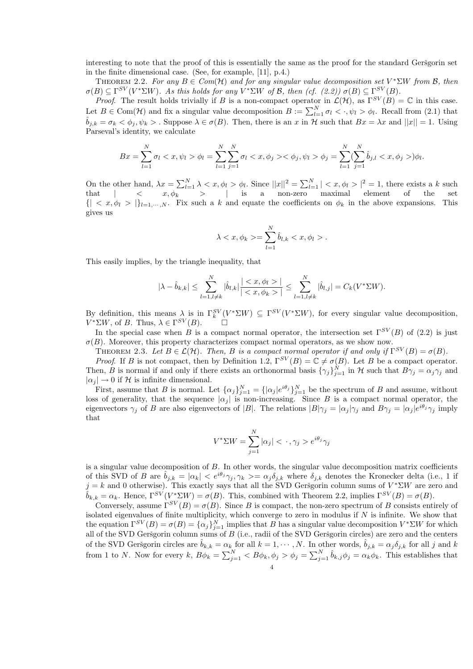interesting to note that the proof of this is essentially the same as the proof for the standard Geršgorin set in the finite dimensional case. (See, for example, [11], p.4.)

THEOREM 2.2. For any  $B \in Com(H)$  and for any singular value decomposition set  $V^* \Sigma W$  from  $B$ , then  $\sigma(B) \subseteq \Gamma^{SV}(V^*\Sigma W)$ . As this holds for any  $V^*\Sigma W$  of B, then (cf. (2.2))  $\sigma(B) \subseteq \Gamma^{SV}(B)$ .

*Proof.* The result holds trivially if B is a non-compact operator in  $\mathcal{L}(\mathcal{H})$ , as  $\Gamma^{SV}(B) = \mathbb{C}$  in this case. Let  $B \in \text{Com}(\mathcal{H})$  and fix a singular value decomposition  $B := \sum_{l=1}^{N} \sigma_l < \cdot, \psi_l > \phi_l$ . Recall from (2.1) that  $\hat{b}_{j,k} = \sigma_k < \phi_j, \psi_k >$ . Suppose  $\lambda \in \sigma(B)$ . Then, there is an x in H such that  $Bx = \lambda x$  and  $||x|| = 1$ . Using Parseval's identity, we calculate

$$
Bx = \sum_{l=1}^{N} \sigma_l < x, \psi_l > \phi_l = \sum_{l=1}^{N} \sum_{j=1}^{N} \sigma_l < x, \phi_j > \phi_j, \psi_l > \phi_j = \sum_{l=1}^{N} \sum_{j=1}^{N} \hat{b}_{j,l} < x, \phi_j > \phi_l.
$$

On the other hand,  $\lambda x = \sum_{l=1}^{N} \lambda < x, \phi_l > \phi_l$ . Since  $||x||^2 = \sum_{l=1}^{N} \lambda < x, \phi_l > |^2 = 1$ , there exists a k such that | < x, φ<sup>k</sup> > | is a non-zero maximal element of the set  $\{| \langle x, \phi_l \rangle |_{l=1,\dots,N}$ . Fix such a k and equate the coefficients on  $\phi_k$  in the above expansions. This gives us

$$
\lambda < x, \phi_k > = \sum_{l=1}^N \hat{b}_{l,k} < x, \phi_l > .
$$

This easily implies, by the triangle inequality, that

$$
|\lambda - \hat{b}_{k,k}| \leq \sum_{l=1, l \neq k}^{N} |\hat{b}_{l,k}| \frac{|< x, \phi_l >|}{|< x, \phi_k >|} \leq \sum_{l=1, l \neq k}^{N} |\hat{b}_{l,j}| = C_k(V^* \Sigma W).
$$

By definition, this means  $\lambda$  is in  $\Gamma_k^{SV}(V^*\Sigma W) \subseteq \Gamma^{SV}(V^*\Sigma W)$ , for every singular value decomposition,  $V^* \Sigma W$ , of B. Thus,  $\lambda \in \Gamma^{SV}(B)$ .  $\Box$ 

In the special case when B is a compact normal operator, the intersection set  $\Gamma^{SV}(B)$  of (2.2) is just  $\sigma(B)$ . Moreover, this property characterizes compact normal operators, as we show now.

THEOREM 2.3. Let  $B \in \mathcal{L}(\mathcal{H})$ . Then, B is a compact normal operator if and only if  $\Gamma^{SV}(B) = \sigma(B)$ .

*Proof.* If B is not compact, then by Definition 1.2,  $\Gamma^{SV}(B) = \mathbb{C} \neq \sigma(B)$ . Let B be a compact operator. Then, B is normal if and only if there exists an orthonormal basis  $\{\gamma_j\}_{j=1}^N$  in H such that  $B\gamma_j = \alpha_j \gamma_j$  and  $|\alpha_i| \to 0$  if H is infinite dimensional.

First, assume that B is normal. Let  $\{\alpha_j\}_{j=1}^N = \{|\alpha_j|e^{i\theta_j}\}_{j=1}^N$  be the spectrum of B and assume, without loss of generality, that the sequence  $|\alpha_j|$  is non-increasing. Since B is a compact normal operator, the eigenvectors  $\gamma_j$  of B are also eigenvectors of |B|. The relations  $|B|\gamma_j = |\alpha_j|\gamma_j$  and  $B\gamma_j = |\alpha_j|e^{i\theta_j}\gamma_j$  imply that

$$
V^* \Sigma W = \sum_{j=1}^N |\alpha_j| < \cdot, \gamma_j > e^{i\theta_j} \gamma_j
$$

is a singular value decomposition of  $B$ . In other words, the singular value decomposition matrix coefficients of this SVD of B are  $\hat{b}_{j,k} = |\alpha_k| < e^{i\theta_j} \gamma_j, \gamma_k > = \alpha_j \delta_{j,k}$  where  $\delta_{j,k}$  denotes the Kronecker delta (i.e., 1 if  $j = k$  and 0 otherwise). This exactly says that all the SVD Geršgorin column sums of  $V^* \Sigma W$  are zero and  $\hat{b}_{k,k} = \alpha_k$ . Hence,  $\Gamma^{SV}(V^* \Sigma W) = \sigma(B)$ . This, combined with Theorem 2.2, implies  $\Gamma^{SV}(B) = \sigma(B)$ .

Conversely, assume  $\Gamma^{SV}(B) = \sigma(B)$ . Since B is compact, the non-zero spectrum of B consists entirely of isolated eigenvalues of finite multiplicity, which converge to zero in modulus if  $N$  is infinite. We show that the equation  $\Gamma^{SV}(B) = \sigma(B) = {\{\alpha_j\}}_{j=1}^N$  implies that B has a singular value decomposition  $V^* \Sigma W$  for which all of the SVD Geršgorin column sums of  $B$  (i.e., radii of the SVD Geršgorin circles) are zero and the centers of the SVD Geršgorin circles are  $\hat{b}_{k,k} = \alpha_k$  for all  $k = 1, \dots, N$ . In other words,  $\hat{b}_{j,k} = \alpha_j \delta_{j,k}$  for all j and k from 1 to N. Now for every  $k$ ,  $B\phi_k = \sum_{j=1}^N < B\phi_k$ ,  $\phi_j > \phi_j = \sum_{j=1}^N \hat{b}_{k,j} \phi_j = \alpha_k \phi_k$ . This establishes that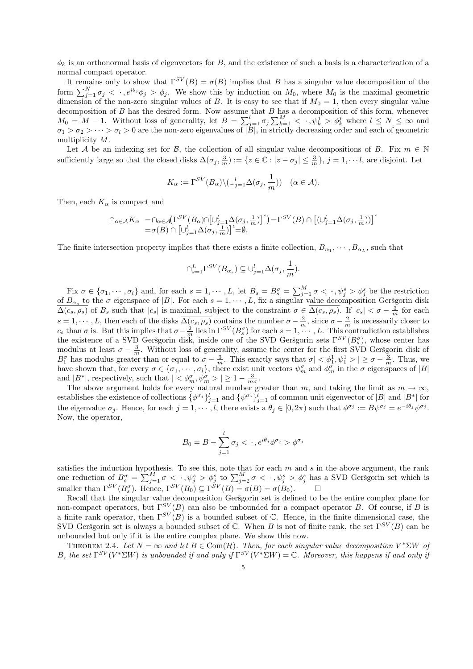$\phi_k$  is an orthonormal basis of eigenvectors for B, and the existence of such a basis is a characterization of a normal compact operator.

It remains only to show that  $\Gamma^{SV}(B) = \sigma(B)$  implies that B has a singular value decomposition of the form  $\sum_{j=1}^{N} \sigma_j < \cdot$ ,  $e^{i\theta_j} \phi_j > \phi_j$ . We show this by induction on  $M_0$ , where  $M_0$  is the maximal geometric dimension of the non-zero singular values of B. It is easy to see that if  $M_0 = 1$ , then every singular value decomposition of  $B$  has the desired form. Now assume that  $B$  has a decomposition of this form, whenever  $M_0 = M - 1$ . Without loss of generality, let  $B = \sum_{j=1}^{l} \sigma_j \sum_{k=1}^{M} \langle \cdot, \psi_k^j \rangle \phi_k^j$  where  $l \leq N \leq \infty$  and  $\sigma_1 > \sigma_2 > \cdots > \sigma_l > 0$  are the non-zero eigenvalues of  $|B|$ , in strictly decreasing order and each of geometric multiplicity M.

Let A be an indexing set for B, the collection of all singular value decompositions of B. Fix  $m \in \mathbb{N}$ sufficiently large so that the closed disks  $\overline{\Delta(\sigma_j, \frac{3}{m})} := \{z \in \mathbb{C} : |z - \sigma_j| \leq \frac{3}{m}\}, j = 1, \dots, l$ , are disjoint. Let

$$
K_{\alpha} := \Gamma^{SV}(B_{\alpha}) \setminus (\cup_{j=1}^{l} \Delta(\sigma_j, \frac{1}{m})) \quad (\alpha \in \mathcal{A}).
$$

Then, each  $K_{\alpha}$  is compact and

$$
\begin{array}{ll} \cap_{\alpha \in \mathcal{A}} K_{\alpha} & = \cap_{\alpha \in \mathcal{A}} \bigl( \Gamma^{SV}(B_{\alpha}) \cap \bigl[ \cup_{j=1}^l \Delta(\sigma_j, \frac{1}{m}) \bigr]^c \bigl) = \Gamma^{SV}(B) \cap \bigl[ (\cup_{j=1}^l \Delta(\sigma_j, \frac{1}{m}) \bigr]^c \\ & = \sigma(B) \cap \bigl[ \cup_{j=1}^l \Delta(\sigma_j, \frac{1}{m}) \bigr]^c = \emptyset. \end{array}
$$

The finite intersection property implies that there exists a finite collection,  $B_{\alpha_1}, \dots, B_{\alpha_L}$ , such that

$$
\cap_{s=1}^L \Gamma^{SV}(B_{\alpha_s}) \subseteq \bigcup_{j=1}^l \Delta(\sigma_j, \frac{1}{m}).
$$

Fix  $\sigma \in {\sigma_1, \cdots, \sigma_l}$  and, for each  $s = 1, \cdots, L$ , let  $B_s = B_s^{\sigma} = \sum_{j=1}^{M} \sigma \langle \cdot, \psi_j^s \rangle \phi_j^s$  be the restriction of  $B_{\alpha_s}$  to the  $\sigma$  eigenspace of |B|. For each  $s = 1, \dots, L$ , fix a singular value decomposition Geršgorin disk  $\overline{\Delta(c_s, \rho_s)}$  of  $B_s$  such that  $|c_s|$  is maximal, subject to the constraint  $\sigma \in \overline{\Delta(c_s, \rho_s)}$ . If  $|c_s| < \sigma - \frac{3}{m}$  for each  $s = 1, \dots, L$ , then each of the disks  $\overline{\Delta(c_s, \rho_s)}$  contains the number  $\sigma - \frac{2}{m}$ , since  $\sigma - \frac{2}{m}$  is necessarily closer to  $c_s$  than  $\sigma$  is. But this implies that  $\sigma - \frac{\lambda}{m}$  lies in  $\Gamma^{SV}(B_s^{\sigma})$  for each  $s = 1, \cdots, L$ . This contradiction establishes the existence of a SVD Geršgorin disk, inside one of the SVD Geršgorin sets  $\Gamma^{SV}(B_s^{\sigma})$ , whose center has modulus at least  $\sigma - \frac{3}{m}$ . Without loss of generality, assume the center for the first SVD Geršgorin disk of  $B_1^{\sigma}$  has modulus greater than or equal to  $\sigma - \frac{3}{m}$ . This exactly says that  $\sigma < \phi_1^1, \psi_1^1 > | \ge \sigma - \frac{3}{m}$ . Thus, we have shown that, for every  $\sigma \in {\sigma_1, \cdots, \sigma_l}$ , there exist unit vectors  $\psi_m^{\sigma}$  and  $\phi_m^{\sigma}$  in the  $\sigma$  eigenspaces of  $|B|$ and  $|B^*|$ , respectively, such that  $| \lt \phi_m^{\sigma}, \psi_m^{\sigma} \gt | \ge 1 - \frac{3}{m}$  $\frac{3}{m\sigma}$ .

The above argument holds for every natural number greater than m, and taking the limit as  $m \to \infty$ , establishes the existence of collections  $\{\phi^{\sigma_j}\}_{j=1}^l$  and  $\{\psi^{\sigma_j}\}_{j=1}^l$  of common unit eigenvector of  $|B|$  and  $|B^*|$  for the eigenvalue  $\sigma_j$ . Hence, for each  $j = 1, \dots, l$ , there exists a  $\theta_j \in [0, 2\pi)$  such that  $\phi^{\sigma_j} := B\psi^{\sigma_j} = e^{-i\theta_j}\psi^{\sigma_j}$ . Now, the operator,

$$
B_0 = B - \sum_{j=1}^{l} \sigma_j < \cdot, e^{i\theta_j} \phi^{\sigma_j} > \phi^{\sigma_j}
$$

satisfies the induction hypothesis. To see this, note that for each  $m$  and  $s$  in the above argument, the rank one reduction of  $B_s^{\sigma} = \sum_{j=1}^{M} \sigma \langle \cdot, \psi_j^s \rangle \phi_j^s$  to  $\sum_{j=2}^{M} \sigma \langle \cdot, \psi_j^s \rangle \phi_j^s$  has a SVD Geršgorin set which is smaller than  $\Gamma^{SV}(B_s^{\sigma})$ . Hence,  $\Gamma^{SV}(B_0) \subseteq \Gamma^{SV}(B) = \sigma(B) = \sigma(B_0)$ .

Recall that the singular value decomposition Geršgorin set is defined to be the entire complex plane for non-compact operators, but  $\Gamma^{SV}(B)$  can also be unbounded for a compact operator B. Of course, if B is a finite rank operator, then  $\Gamma^{SV}(B)$  is a bounded subset of C. Hence, in the finite dimensional case, the SVD Geršgorin set is always a bounded subset of  $\mathbb C$ . When B is not of finite rank, the set  $\Gamma^{SV}(B)$  can be unbounded but only if it is the entire complex plane. We show this now.

THEOREM 2.4. Let  $N = \infty$  and let  $B \in \text{Com}(\mathcal{H})$ . Then, for each singular value decomposition  $V^* \Sigma W$  of B, the set  $\Gamma^{SV}(V^*\Sigma W)$  is unbounded if and only if  $\Gamma^{SV}(V^*\Sigma W) = \mathbb{C}$ . Moreover, this happens if and only if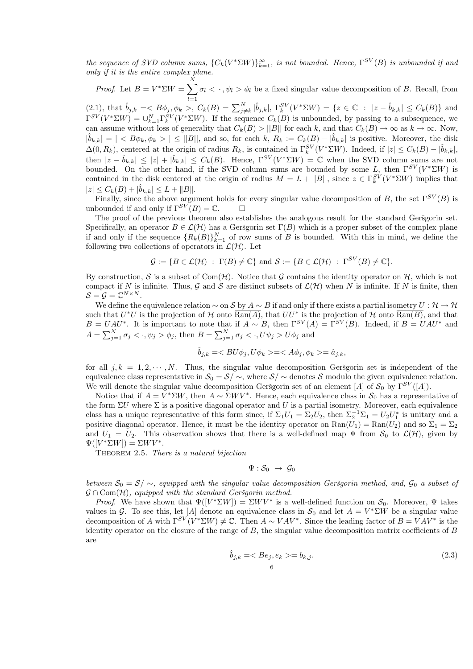the sequence of SVD column sums,  ${C_k(V^*\Sigma W)}_{k=1}^{\infty}$ , is not bounded. Hence,  $\Gamma^{SV}(B)$  is unbounded if and only if it is the entire complex plane.

*Proof.* Let  $B = V^* \Sigma W = \sum$ N  $l=1$  $\sigma_l < \cdot$ ,  $\psi_l > \phi_l$  be a fixed singular value decomposition of B. Recall, from

(2.1), that  $\hat{b}_{j,k} = \langle B\phi_j, \phi_k \rangle, C_k(B) = \sum_{j \neq k}^N |\hat{b}_{j,k}|, \Gamma_k^{SV}(V^* \Sigma W) = \{z \in \mathbb{C} : |z - \hat{b}_{k,k}| \leq C_k(B)\}\$ and  $\Gamma^{SV}(V^*\Sigma W) = \cup_{k=1}^N \Gamma_k^{SV}(V^*\Sigma W)$ . If the sequence  $C_k(B)$  is unbounded, by passing to a subsequence, we can assume without loss of generality that  $C_k(B) > ||B||$  for each k, and that  $C_k(B) \to \infty$  as  $k \to \infty$ . Now,  $|\hat{b}_{k,k}| = | \langle B\phi_k, \phi_k \rangle | \leq ||B||$ , and so, for each k,  $R_k := C_k(B) - |\hat{b}_{k,k}|$  is positive. Moreover, the disk  $\Delta(0, R_k)$ , centered at the origin of radius  $R_k$ , is contained in  $\Gamma_k^{SV}(V^*\Sigma W)$ . Indeed, if  $|z| \leq C_k(B) - |\hat{b}_{k,k}|$ , then  $|z - \hat{b}_{k,k}| \leq |z| + |\hat{b}_{k,k}| \leq C_k(B)$ . Hence,  $\Gamma^{SV}(V^* \Sigma W) = \mathbb{C}$  when the SVD column sums are not bounded. On the other hand, if the SVD column sums are bounded by some L, then  $\Gamma^{SV}(V^*\Sigma W)$  is contained in the disk centered at the origin of radius  $M = L + ||B||$ , since  $z \in \Gamma_k^{SV}(V^* \Sigma W)$  implies that  $|z| \leq C_k(B) + |\hat{b}_{k,k}| \leq L + ||B||.$ 

Finally, since the above argument holds for every singular value decomposition of B, the set  $\Gamma^{SV}(B)$  is unbounded if and only if  $\Gamma^{SV}(B) = \mathbb{C}$ .  $\Box$ 

The proof of the previous theorem also establishes the analogous result for the standard Gersgorin set. Specifically, an operator  $B \in \mathcal{L}(\mathcal{H})$  has a Geršgorin set  $\Gamma(B)$  which is a proper subset of the complex plane if and only if the sequence  ${R_k(B)}_{k=1}^N$  of row sums of B is bounded. With this in mind, we define the following two collections of operators in  $\mathcal{L}(\mathcal{H})$ . Let

$$
\mathcal{G} := \{ B \in \mathcal{L}(\mathcal{H}) \; : \; \Gamma(B) \neq \mathbb{C} \} \text{ and } \mathcal{S} := \{ B \in \mathcal{L}(\mathcal{H}) \; : \; \Gamma^{SV}(B) \neq \mathbb{C} \}.
$$

By construction, S is a subset of Com(H). Notice that G contains the identity operator on H, which is not compact if N is infinite. Thus, G and S are distinct subsets of  $\mathcal{L}(\mathcal{H})$  when N is infinite. If N is finite, then  $S = G = \mathbb{C}^{N \times N}.$ 

We define the equivalence relation  $\sim$  on S by  $A \sim B$  if and only if there exists a partial isometry  $U : H \to H$ such that  $U^*U$  is the projection of H onto  $\overline{\text{Ran}(A)}$ , that  $UU^*$  is the projection of H onto  $\overline{\text{Ran}(B)}$ , and that  $B = UAU^*$ . It is important to note that if  $A \sim B$ , then  $\Gamma^{SV}(A) = \Gamma^{SV}(B)$ . Indeed, if  $B = UAU^*$  and  $A = \sum_{j=1}^{N} \sigma_j \langle \cdot, \psi_j \rangle \phi_j$ , then  $B = \sum_{j=1}^{N} \sigma_j \langle \cdot, U\psi_j \rangle U \phi_j$  and

$$
\hat{b}_{j,k} = \langle BU\phi_j, U\phi_k \rangle = \langle A\phi_j, \phi_k \rangle = \hat{a}_{j,k},
$$

for all  $j, k = 1, 2, \dots, N$ . Thus, the singular value decomposition Gersgorin set is independent of the equivalence class representative in  $S_0 = S / \sim$ , where  $S / \sim$  denotes S modulo the given equivalence relation. We will denote the singular value decomposition Geršgorin set of an element [A] of  $S_0$  by  $\Gamma^{SV}([A])$ .

Notice that if  $A = V^* \Sigma W$ , then  $A \sim \Sigma W V^*$ . Hence, each equivalence class in  $S_0$  has a representative of the form  $\Sigma U$  where  $\Sigma$  is a positive diagonal operator and U is a partial isometry. Moreover, each equivalence class has a unique representative of this form since, if  $\Sigma_1 U_1 = \Sigma_2 U_2$ , then  $\Sigma_2^{-1} \Sigma_1 = U_2 U_1^*$  is unitary and a positive diagonal operator. Hence, it must be the identity operator on  $\text{Ran}(U_1) = \text{Ran}(U_2)$  and so  $\Sigma_1 = \Sigma_2$ and  $U_1 = U_2$ . This observation shows that there is a well-defined map  $\Psi$  from  $S_0$  to  $\mathcal{L}(\mathcal{H})$ , given by  $\Psi([V^* \Sigma W]) = \Sigma W V^*.$ 

THEOREM 2.5. There is a natural bijection

$$
\Psi: \mathcal{S}_0 \ \to \ \mathcal{G}_0
$$

between  $S_0 = S/\sim$ , equipped with the singular value decomposition Geršgorin method, and,  $\mathcal{G}_0$  a subset of  $\mathcal{G} \cap \text{Com}(\mathcal{H})$ , equipped with the standard Geršgorin method.

*Proof.* We have shown that  $\Psi([V^*\Sigma W]) = \Sigma W V^*$  is a well-defined function on  $S_0$ . Moreover,  $\Psi$  takes values in G. To see this, let [A] denote an equivalence class in  $S_0$  and let  $A = V^* \Sigma W$  be a singular value decomposition of A with  $\Gamma^{SV}(V^*\Sigma W) \neq \mathbb{C}$ . Then  $A \sim VAV^*$ . Since the leading factor of  $B = VAV^*$  is the identity operator on the closure of the range of  $B$ , the singular value decomposition matrix coefficients of  $B$ are

$$
\hat{b}_{j,k} = \langle Be_j, e_k \rangle = b_{k,j}.\tag{2.3}
$$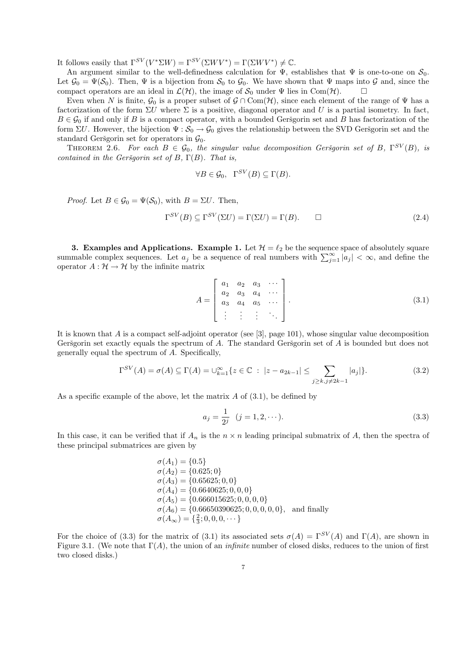It follows easily that  $\Gamma^{SV}(V^*\Sigma W) = \Gamma^{SV}(\Sigma WV^*) = \Gamma(\Sigma WV^*) \neq \mathbb{C}$ .

An argument similar to the well-definedness calculation for  $\Psi$ , establishes that  $\Psi$  is one-to-one on  $\mathcal{S}_0$ . Let  $\mathcal{G}_0 = \Psi(\mathcal{S}_0)$ . Then,  $\Psi$  is a bijection from  $\mathcal{S}_0$  to  $\mathcal{G}_0$ . We have shown that  $\Psi$  maps into  $\mathcal{G}$  and, since the compact operators are an ideal in  $\mathcal{L}(\mathcal{H})$ , the image of  $\mathcal{S}_0$  under  $\Psi$ compact operators are an ideal in  $\mathcal{L}(\mathcal{H})$ , the image of  $\mathcal{S}_0$  under  $\Psi$  lies in Com(H).

Even when N is finite,  $\mathcal{G}_0$  is a proper subset of  $\mathcal{G} \cap \text{Com}(\mathcal{H})$ , since each element of the range of  $\Psi$  has a factorization of the form  $\Sigma U$  where  $\Sigma$  is a positive, diagonal operator and U is a partial isometry. In fact,  $B \in \mathcal{G}_0$  if and only if B is a compact operator, with a bounded Geršgorin set and B has factorization of the form  $\Sigma U$ . However, the bijection  $\Psi : \mathcal{S}_0 \to \mathcal{G}_0$  gives the relationship between the SVD Geršgorin set and the standard Geršgorin set for operators in  $\mathcal{G}_0$ .

THEOREM 2.6. For each  $B \in \mathcal{G}_0$ , the singular value decomposition Geršgorin set of B,  $\Gamma^{SV}(B)$ , is contained in the Geršgorin set of B,  $\Gamma(B)$ . That is,

$$
\forall B \in \mathcal{G}_0, \ \ \Gamma^{SV}(B) \subseteq \Gamma(B).
$$

*Proof.* Let  $B \in \mathcal{G}_0 = \Psi(\mathcal{S}_0)$ , with  $B = \Sigma U$ . Then,

$$
\Gamma^{SV}(B) \subseteq \Gamma^{SV}(\Sigma U) = \Gamma(\Sigma U) = \Gamma(B). \qquad \Box \tag{2.4}
$$

3. Examples and Applications. Example 1. Let  $\mathcal{H} = \ell_2$  be the sequence space of absolutely square summable complex sequences. Let  $a_j$  be a sequence of real numbers with  $\sum_{j=1}^{\infty} |a_j| < \infty$ , and define the operator  $A : \mathcal{H} \to \mathcal{H}$  by the infinite matrix

$$
A = \begin{bmatrix} a_1 & a_2 & a_3 & \cdots \\ a_2 & a_3 & a_4 & \cdots \\ a_3 & a_4 & a_5 & \cdots \\ \vdots & \vdots & \vdots & \ddots \end{bmatrix} .
$$
 (3.1)

It is known that  $A$  is a compact self-adjoint operator (see [3], page 101), whose singular value decomposition Geršgorin set exactly equals the spectrum of  $A$ . The standard Geršgorin set of  $A$  is bounded but does not generally equal the spectrum of A. Specifically,

$$
\Gamma^{SV}(A) = \sigma(A) \subseteq \Gamma(A) = \bigcup_{k=1}^{\infty} \{ z \in \mathbb{C} : |z - a_{2k-1}| \le \sum_{j \ge k, j \ne 2k-1} |a_j| \}.
$$
 (3.2)

As a specific example of the above, let the matrix  $A$  of  $(3.1)$ , be defined by

$$
a_j = \frac{1}{2^j} \quad (j = 1, 2, \cdots). \tag{3.3}
$$

In this case, it can be verified that if  $A_n$  is the  $n \times n$  leading principal submatrix of A, then the spectra of these principal submatrices are given by

$$
\sigma(A_1) = \{0.5\} \n\sigma(A_2) = \{0.625; 0\} \n\sigma(A_3) = \{0.65625; 0, 0\} \n\sigma(A_4) = \{0.6640625; 0, 0, 0\} \n\sigma(A_5) = \{0.666015625; 0, 0, 0, 0\} \n\sigma(A_6) = \{0.66650390625; 0, 0, 0, 0, 0\}, and finally \n\sigma(A_{\infty}) = \{\frac{2}{3}; 0, 0, 0, \cdots\}
$$

For the choice of (3.3) for the matrix of (3.1) its associated sets  $\sigma(A) = \Gamma^{SV}(A)$  and  $\Gamma(A)$ , are shown in Figure 3.1. (We note that  $\Gamma(A)$ , the union of an *infinite* number of closed disks, reduces to the union of first two closed disks.)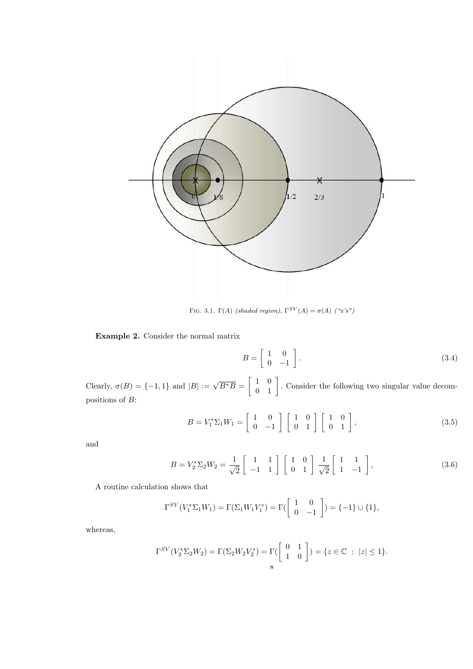

FIG. 3.1.  $\Gamma(A)$  (shaded region),  $\Gamma^{SV}(A) = \sigma(A)$  ("x's")

## Example 2. Consider the normal matrix

$$
B = \left[ \begin{array}{cc} 1 & 0 \\ 0 & -1 \end{array} \right]. \tag{3.4}
$$

Clearly,  $\sigma(B) = \{-1, 1\}$  and  $|B| := \sqrt{B^*B} = \begin{bmatrix} 1 & 0 \\ 0 & 1 \end{bmatrix}$ 0 1 . Consider the following two singular value decompositions of B:

$$
B = V_1^* \Sigma_1 W_1 = \begin{bmatrix} 1 & 0 \\ 0 & -1 \end{bmatrix} \begin{bmatrix} 1 & 0 \\ 0 & 1 \end{bmatrix} \begin{bmatrix} 1 & 0 \\ 0 & 1 \end{bmatrix},
$$
(3.5)

and

$$
B = V_2^* \Sigma_2 W_2 = \frac{1}{\sqrt{2}} \begin{bmatrix} 1 & 1 \\ -1 & 1 \end{bmatrix} \begin{bmatrix} 1 & 0 \\ 0 & 1 \end{bmatrix} \frac{1}{\sqrt{2}} \begin{bmatrix} 1 & 1 \\ 1 & -1 \end{bmatrix},
$$
(3.6)

A routine calculation shows that

$$
\Gamma^{SV}(V_1^* \Sigma_1 W_1) = \Gamma(\Sigma_1 W_1 V_1^*) = \Gamma(\begin{bmatrix} 1 & 0 \ 0 & -1 \end{bmatrix}) = \{-1\} \cup \{1\},\
$$

whereas,

$$
\Gamma^{SV}(V_2^* \Sigma_2 W_2) = \Gamma(\Sigma_2 W_2 V_2^*) = \Gamma(\begin{bmatrix} 0 & 1 \\ 1 & 0 \end{bmatrix}) = \{z \in \mathbb{C} : |z| \le 1\}.
$$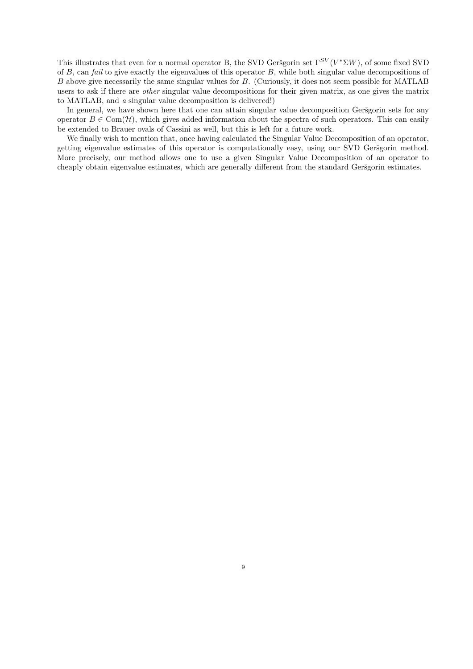This illustrates that even for a normal operator B, the SVD Geršgorin set  $\Gamma^{SV}(V^*\Sigma W)$ , of some fixed SVD of  $B$ , can fail to give exactly the eigenvalues of this operator  $B$ , while both singular value decompositions of B above give necessarily the same singular values for B. (Curiously, it does not seem possible for MATLAB users to ask if there are *other* singular value decompositions for their given matrix, as one gives the matrix to MATLAB, and a singular value decomposition is delivered!)

In general, we have shown here that one can attain singular value decomposition Geršgorin sets for any operator  $B \in \text{Com}(\mathcal{H})$ , which gives added information about the spectra of such operators. This can easily be extended to Brauer ovals of Cassini as well, but this is left for a future work.

We finally wish to mention that, once having calculated the Singular Value Decomposition of an operator, getting eigenvalue estimates of this operator is computationally easy, using our SVD Geršgorin method. More precisely, our method allows one to use a given Singular Value Decomposition of an operator to cheaply obtain eigenvalue estimates, which are generally different from the standard Geršgorin estimates.